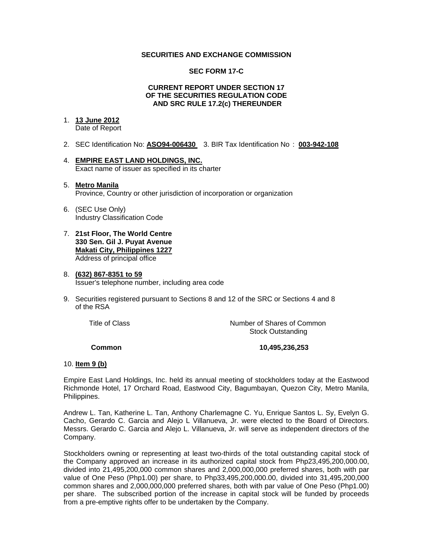## **SECURITIES AND EXCHANGE COMMISSION**

## **SEC FORM 17-C**

## **CURRENT REPORT UNDER SECTION 17 OF THE SECURITIES REGULATION CODE AND SRC RULE 17.2(c) THEREUNDER**

# 1. **13 June 2012**

Date of Report

- 2. SEC Identification No: **ASO94-006430** 3. BIR Tax Identification No : **003-942-108**
- 4. **EMPIRE EAST LAND HOLDINGS, INC.** Exact name of issuer as specified in its charter

## 5. **Metro Manila** Province, Country or other jurisdiction of incorporation or organization

- 6. (SEC Use Only) Industry Classification Code
- 7. **21st Floor, The World Centre 330 Sen. Gil J. Puyat Avenue Makati City, Philippines 1227** Address of principal office

#### 8. **(632) 867-8351 to 59** Issuer's telephone number, including area code

9. Securities registered pursuant to Sections 8 and 12 of the SRC or Sections 4 and 8 of the RSA

 Title of ClassNumber of Shares of Common Stock Outstanding

## **Common 10,495,236,253**

## 10. **Item 9 (b)**

Empire East Land Holdings, Inc. held its annual meeting of stockholders today at the Eastwood Richmonde Hotel, 17 Orchard Road, Eastwood City, Bagumbayan, Quezon City, Metro Manila, Philippines.

Andrew L. Tan, Katherine L. Tan, Anthony Charlemagne C. Yu, Enrique Santos L. Sy, Evelyn G. Cacho, Gerardo C. Garcia and Alejo L Villanueva, Jr. were elected to the Board of Directors. Messrs. Gerardo C. Garcia and Alejo L. Villanueva, Jr. will serve as independent directors of the Company.

Stockholders owning or representing at least two-thirds of the total outstanding capital stock of the Company approved an increase in its authorized capital stock from Php23,495,200,000.00, divided into 21,495,200,000 common shares and 2,000,000,000 preferred shares, both with par value of One Peso (Php1.00) per share, to Php33,495,200,000.00, divided into 31,495,200,000 common shares and 2,000,000,000 preferred shares, both with par value of One Peso (Php1.00) per share. The subscribed portion of the increase in capital stock will be funded by proceeds from a pre-emptive rights offer to be undertaken by the Company.